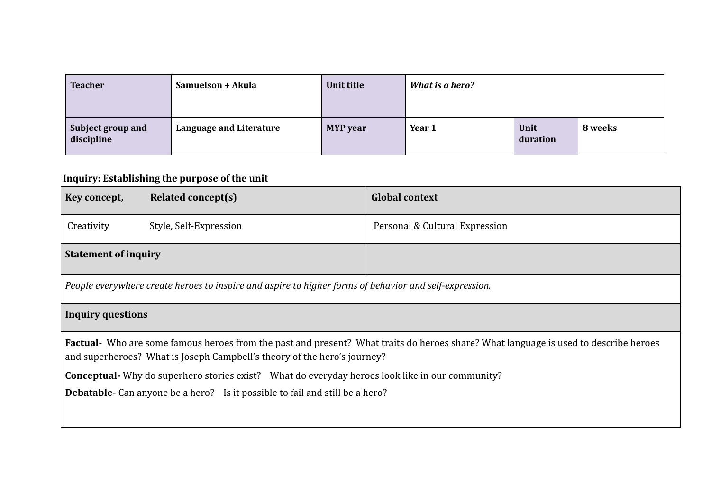| <b>Teacher</b>                  | Samuelson + Akula              | Unit title      | What is a hero? |                  |         |
|---------------------------------|--------------------------------|-----------------|-----------------|------------------|---------|
| Subject group and<br>discipline | <b>Language and Literature</b> | <b>MYP</b> year | Year 1          | Unit<br>duration | 8 weeks |

## **Inquiry: Establishing the purpose of the unit**

| Key concept,                                                                                                                                                                                                           | <b>Related concept(s)</b> | <b>Global context</b>          |  |  |
|------------------------------------------------------------------------------------------------------------------------------------------------------------------------------------------------------------------------|---------------------------|--------------------------------|--|--|
| Creativity                                                                                                                                                                                                             | Style, Self-Expression    | Personal & Cultural Expression |  |  |
| <b>Statement of inquiry</b>                                                                                                                                                                                            |                           |                                |  |  |
| People everywhere create heroes to inspire and aspire to higher forms of behavior and self-expression.                                                                                                                 |                           |                                |  |  |
| <b>Inquiry questions</b>                                                                                                                                                                                               |                           |                                |  |  |
| <b>Factual</b> Who are some famous heroes from the past and present? What traits do heroes share? What language is used to describe heroes<br>and superheroes? What is Joseph Campbell's theory of the hero's journey? |                           |                                |  |  |
| <b>Conceptual-</b> Why do superhero stories exist? What do everyday heroes look like in our community?                                                                                                                 |                           |                                |  |  |
| <b>Debatable-</b> Can anyone be a hero? Is it possible to fail and still be a hero?                                                                                                                                    |                           |                                |  |  |
|                                                                                                                                                                                                                        |                           |                                |  |  |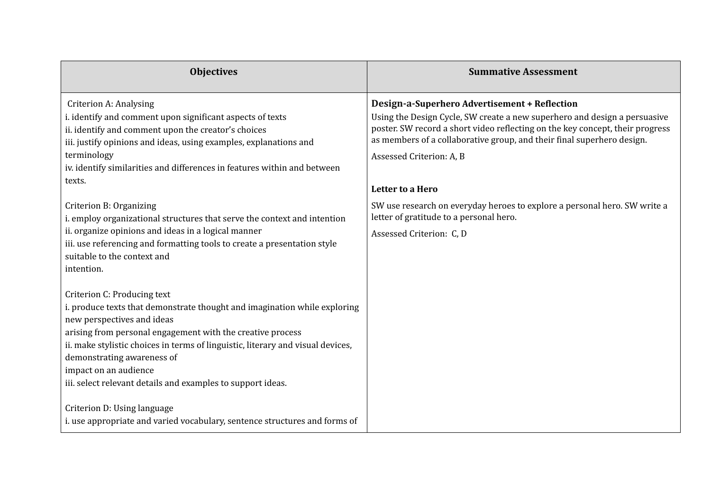| <b>Objectives</b>                                                                                                                                                                                                                                                                                                                                                                                             | <b>Summative Assessment</b>                                                                                                                                                                                                                                                                                       |
|---------------------------------------------------------------------------------------------------------------------------------------------------------------------------------------------------------------------------------------------------------------------------------------------------------------------------------------------------------------------------------------------------------------|-------------------------------------------------------------------------------------------------------------------------------------------------------------------------------------------------------------------------------------------------------------------------------------------------------------------|
| Criterion A: Analysing<br>i. identify and comment upon significant aspects of texts<br>ii. identify and comment upon the creator's choices<br>iii. justify opinions and ideas, using examples, explanations and<br>terminology<br>iv. identify similarities and differences in features within and between                                                                                                    | Design-a-Superhero Advertisement + Reflection<br>Using the Design Cycle, SW create a new superhero and design a persuasive<br>poster. SW record a short video reflecting on the key concept, their progress<br>as members of a collaborative group, and their final superhero design.<br>Assessed Criterion: A, B |
| texts.                                                                                                                                                                                                                                                                                                                                                                                                        | Letter to a Hero                                                                                                                                                                                                                                                                                                  |
| Criterion B: Organizing<br>i. employ organizational structures that serve the context and intention<br>ii. organize opinions and ideas in a logical manner<br>iii. use referencing and formatting tools to create a presentation style<br>suitable to the context and<br>intention.                                                                                                                           | SW use research on everyday heroes to explore a personal hero. SW write a<br>letter of gratitude to a personal hero.<br>Assessed Criterion: C, D                                                                                                                                                                  |
| Criterion C: Producing text<br>i. produce texts that demonstrate thought and imagination while exploring<br>new perspectives and ideas<br>arising from personal engagement with the creative process<br>ii. make stylistic choices in terms of linguistic, literary and visual devices,<br>demonstrating awareness of<br>impact on an audience<br>iii. select relevant details and examples to support ideas. |                                                                                                                                                                                                                                                                                                                   |
| Criterion D: Using language<br>i. use appropriate and varied vocabulary, sentence structures and forms of                                                                                                                                                                                                                                                                                                     |                                                                                                                                                                                                                                                                                                                   |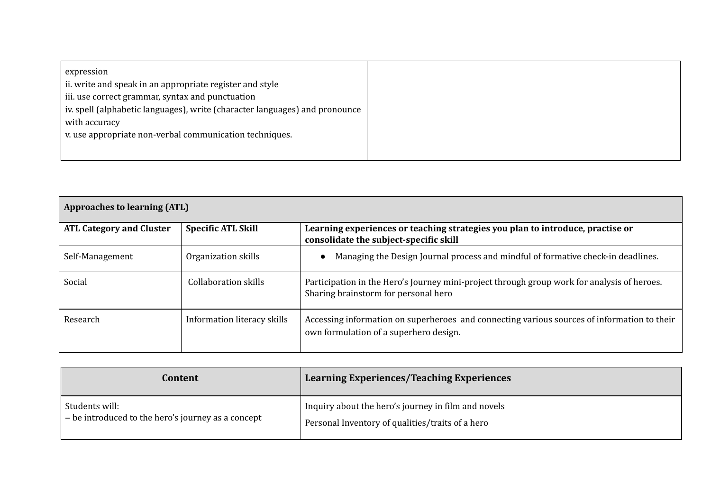| expression                                                                  |  |
|-----------------------------------------------------------------------------|--|
| ii. write and speak in an appropriate register and style                    |  |
| iii. use correct grammar, syntax and punctuation                            |  |
| iv. spell (alphabetic languages), write (character languages) and pronounce |  |
| with accuracy                                                               |  |
| v. use appropriate non-verbal communication techniques.                     |  |
|                                                                             |  |
|                                                                             |  |

| <b>Approaches to learning (ATL)</b> |                             |                                                                                                                                       |  |
|-------------------------------------|-----------------------------|---------------------------------------------------------------------------------------------------------------------------------------|--|
| <b>ATL Category and Cluster</b>     | <b>Specific ATL Skill</b>   | Learning experiences or teaching strategies you plan to introduce, practise or<br>consolidate the subject-specific skill              |  |
| Self-Management                     | Organization skills         | Managing the Design Journal process and mindful of formative check-in deadlines.<br>$\bullet$                                         |  |
| Social                              | <b>Collaboration skills</b> | Participation in the Hero's Journey mini-project through group work for analysis of heroes.<br>Sharing brainstorm for personal hero   |  |
| Research                            | Information literacy skills | Accessing information on superheroes and connecting various sources of information to their<br>own formulation of a superhero design. |  |

| Content                                              | Learning Experiences/Teaching Experiences           |
|------------------------------------------------------|-----------------------------------------------------|
| Students will:                                       | Inquiry about the hero's journey in film and novels |
| $-$ be introduced to the hero's journey as a concept | Personal Inventory of qualities/traits of a hero    |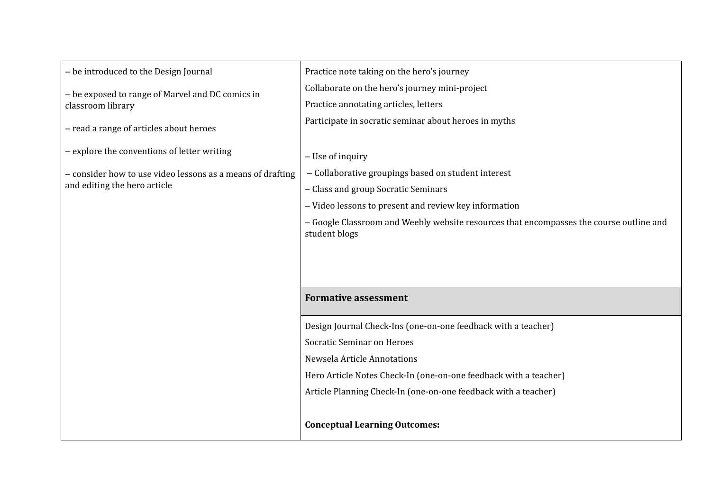| - be introduced to the Design Journal                      | Practice note taking on the hero's journey                                                               |  |  |
|------------------------------------------------------------|----------------------------------------------------------------------------------------------------------|--|--|
| - be exposed to range of Marvel and DC comics in           | Collaborate on the hero's journey mini-project                                                           |  |  |
| classroom library                                          | Practice annotating articles, letters                                                                    |  |  |
| - read a range of articles about heroes                    | Participate in socratic seminar about heroes in myths                                                    |  |  |
| - explore the conventions of letter writing                | - Use of inquiry                                                                                         |  |  |
| - consider how to use video lessons as a means of drafting | - Collaborative groupings based on student interest                                                      |  |  |
| and editing the hero article                               | - Class and group Socratic Seminars                                                                      |  |  |
|                                                            | - Video lessons to present and review key information                                                    |  |  |
|                                                            | - Google Classroom and Weebly website resources that encompasses the course outline and<br>student blogs |  |  |
|                                                            |                                                                                                          |  |  |
|                                                            |                                                                                                          |  |  |
|                                                            | <b>Formative assessment</b>                                                                              |  |  |
|                                                            | Design Journal Check-Ins (one-on-one feedback with a teacher)                                            |  |  |
|                                                            | <b>Socratic Seminar on Heroes</b>                                                                        |  |  |
|                                                            | Newsela Article Annotations                                                                              |  |  |
|                                                            | Hero Article Notes Check-In (one-on-one feedback with a teacher)                                         |  |  |
|                                                            | Article Planning Check-In (one-on-one feedback with a teacher)                                           |  |  |
|                                                            | <b>Conceptual Learning Outcomes:</b>                                                                     |  |  |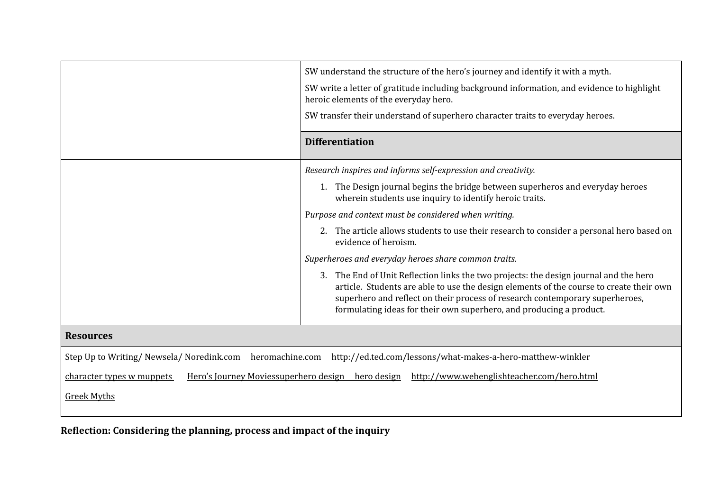|                                                                                                                           | SW understand the structure of the hero's journey and identify it with a myth.<br>SW write a letter of gratitude including background information, and evidence to highlight<br>heroic elements of the everyday hero.<br>SW transfer their understand of superhero character traits to everyday heroes.                                 |  |
|---------------------------------------------------------------------------------------------------------------------------|-----------------------------------------------------------------------------------------------------------------------------------------------------------------------------------------------------------------------------------------------------------------------------------------------------------------------------------------|--|
|                                                                                                                           | <b>Differentiation</b>                                                                                                                                                                                                                                                                                                                  |  |
|                                                                                                                           | Research inspires and informs self-expression and creativity.                                                                                                                                                                                                                                                                           |  |
|                                                                                                                           | 1. The Design journal begins the bridge between superheros and everyday heroes<br>wherein students use inquiry to identify heroic traits.                                                                                                                                                                                               |  |
|                                                                                                                           | Purpose and context must be considered when writing.                                                                                                                                                                                                                                                                                    |  |
|                                                                                                                           | 2. The article allows students to use their research to consider a personal hero based on<br>evidence of heroism.                                                                                                                                                                                                                       |  |
|                                                                                                                           | Superheroes and everyday heroes share common traits.                                                                                                                                                                                                                                                                                    |  |
|                                                                                                                           | 3. The End of Unit Reflection links the two projects: the design journal and the hero<br>article. Students are able to use the design elements of the course to create their own<br>superhero and reflect on their process of research contemporary superheroes,<br>formulating ideas for their own superhero, and producing a product. |  |
| <b>Resources</b>                                                                                                          |                                                                                                                                                                                                                                                                                                                                         |  |
| Step Up to Writing/Newsela/Noredink.com                                                                                   | heromachine.com http://ed.ted.com/lessons/what-makes-a-hero-matthew-winkler                                                                                                                                                                                                                                                             |  |
| Hero's Journey Moviessuperhero design hero design http://www.webenglishteacher.com/hero.html<br>character types w muppets |                                                                                                                                                                                                                                                                                                                                         |  |
| <b>Greek Myths</b>                                                                                                        |                                                                                                                                                                                                                                                                                                                                         |  |

**Reflection: Considering the planning, process and impact of the inquiry**